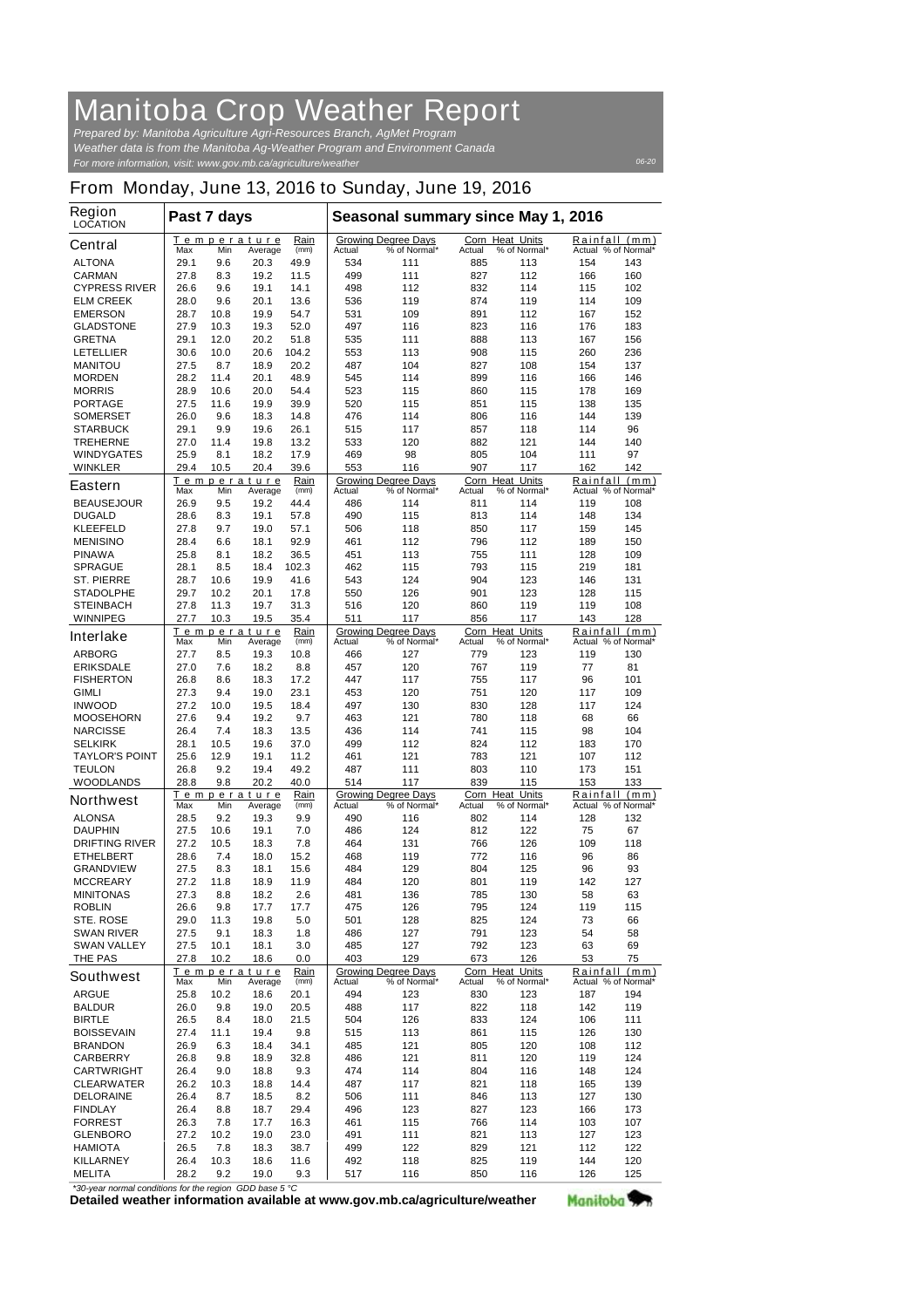## Manitoba Crop Weather Report

*For more information, visit: www.gov.mb.ca/agriculture/weather Prepared by: Manitoba Agriculture Agri-Resources Branch, AgMet Program Weather data is from the Manitoba Ag-Weather Program and Environment Canada*

## From Monday, June 13, 2016 to Sunday, June 19, 2016

| Region<br>LOCATION                  | Past 7 days  |             |                               |               | Seasonal summary since May 1, 2016 |                                            |                     |                       |            |                             |
|-------------------------------------|--------------|-------------|-------------------------------|---------------|------------------------------------|--------------------------------------------|---------------------|-----------------------|------------|-----------------------------|
| Central                             |              |             | Temperature                   | Rain<br>(mm)  |                                    | <b>Growing Degree Days</b>                 | Corn Heat Units     |                       | Rainfall   | (mm)                        |
| <b>ALTONA</b>                       | Max<br>29.1  | Min<br>9.6  | Average<br>20.3               | 49.9          | Actual<br>534                      | % of Normal*<br>111                        | Actual<br>885       | % of Normal*<br>113   | 154        | Actual % of Normal*<br>143  |
| <b>CARMAN</b>                       | 27.8         | 8.3         | 19.2                          | 11.5          | 499                                | 111                                        | 827                 | 112                   | 166        | 160                         |
| <b>CYPRESS RIVER</b>                | 26.6         | 9.6         | 19.1                          | 14.1          | 498                                | 112                                        | 832                 | 114                   | 115        | 102                         |
| <b>ELM CREEK</b>                    | 28.0         | 9.6         | 20.1                          | 13.6          | 536                                | 119                                        | 874                 | 119                   | 114        | 109                         |
| <b>EMERSON</b>                      | 28.7         | 10.8        | 19.9                          | 54.7          | 531                                | 109                                        | 891                 | 112                   | 167        | 152                         |
| <b>GLADSTONE</b>                    | 27.9         | 10.3        | 19.3                          | 52.0          | 497                                | 116                                        | 823                 | 116                   | 176        | 183                         |
| <b>GRETNA</b>                       | 29.1         | 12.0        | 20.2                          | 51.8          | 535                                | 111                                        | 888                 | 113                   | 167        | 156                         |
| LETELLIER<br><b>MANITOU</b>         | 30.6<br>27.5 | 10.0<br>8.7 | 20.6<br>18.9                  | 104.2<br>20.2 | 553<br>487                         | 113<br>104                                 | 908<br>827          | 115<br>108            | 260<br>154 | 236<br>137                  |
| <b>MORDEN</b>                       | 28.2         | 11.4        | 20.1                          | 48.9          | 545                                | 114                                        | 899                 | 116                   | 166        | 146                         |
| <b>MORRIS</b>                       | 28.9         | 10.6        | 20.0                          | 54.4          | 523                                | 115                                        | 860                 | 115                   | 178        | 169                         |
| <b>PORTAGE</b>                      | 27.5         | 11.6        | 19.9                          | 39.9          | 520                                | 115                                        | 851                 | 115                   | 138        | 135                         |
| <b>SOMERSET</b>                     | 26.0         | 9.6         | 18.3                          | 14.8          | 476                                | 114                                        | 806                 | 116                   | 144        | 139                         |
| <b>STARBUCK</b>                     | 29.1         | 9.9         | 19.6                          | 26.1          | 515                                | 117                                        | 857                 | 118                   | 114        | 96                          |
| <b>TREHERNE</b>                     | 27.0         | 11.4        | 19.8                          | 13.2          | 533                                | 120                                        | 882                 | 121                   | 144        | 140                         |
| <b>WINDYGATES</b><br><b>WINKLER</b> | 25.9<br>29.4 | 8.1<br>10.5 | 18.2<br>20.4                  | 17.9<br>39.6  | 469<br>553                         | 98<br>116                                  | 805<br>907          | 104<br>117            | 111<br>162 | 97<br>142                   |
|                                     |              |             | Temperature                   | Rain          |                                    | <b>Growing Degree Days</b>                 | Corn Heat Units     |                       | Rainfall   | (mm)                        |
| Eastern                             | Max          | Min         | Average                       | (mm)          | Actual                             | % of Normal*                               | Actual              | % of Normal*          |            | Actual % of Normal*         |
| <b>BEAUSEJOUR</b>                   | 26.9         | 9.5         | 19.2                          | 44.4          | 486                                | 114                                        | 811                 | 114                   | 119        | 108                         |
| <b>DUGALD</b>                       | 28.6         | 8.3         | 19.1                          | 57.8          | 490                                | 115                                        | 813                 | 114                   | 148        | 134                         |
| <b>KLEEFELD</b>                     | 27.8         | 9.7         | 19.0                          | 57.1          | 506                                | 118                                        | 850                 | 117                   | 159        | 145                         |
| <b>MENISINO</b><br><b>PINAWA</b>    | 28.4<br>25.8 | 6.6<br>8.1  | 18.1<br>18.2                  | 92.9<br>36.5  | 461<br>451                         | 112<br>113                                 | 796<br>755          | 112<br>111            | 189<br>128 | 150<br>109                  |
| SPRAGUE                             | 28.1         | 8.5         | 18.4                          | 102.3         | 462                                | 115                                        | 793                 | 115                   | 219        | 181                         |
| ST. PIERRE                          | 28.7         | 10.6        | 19.9                          | 41.6          | 543                                | 124                                        | 904                 | 123                   | 146        | 131                         |
| <b>STADOLPHE</b>                    | 29.7         | 10.2        | 20.1                          | 17.8          | 550                                | 126                                        | 901                 | 123                   | 128        | 115                         |
| <b>STEINBACH</b>                    | 27.8         | 11.3        | 19.7                          | 31.3          | 516                                | 120                                        | 860                 | 119                   | 119        | 108                         |
| WINNIPEG                            | 27.7         | 10.3        | 19.5                          | 35.4          | 511                                | 117                                        | 856                 | 117                   | 143        | 128                         |
| Interlake                           | Max          | Min         | <b>Temperature</b><br>Average | Rain<br>(mm)  | Actual                             | <b>Growing Degree Days</b><br>% of Normal* | Corn Heat<br>Actual | Units<br>% of Normal* | Rainfall   | (mm)<br>Actual % of Normal* |
| <b>ARBORG</b>                       | 27.7         | 8.5         | 19.3                          | 10.8          | 466                                | 127                                        | 779                 | 123                   | 119        | 130                         |
| <b>ERIKSDALE</b>                    | 27.0         | 7.6         | 18.2                          | 8.8           | 457                                | 120                                        | 767                 | 119                   | 77         | 81                          |
| <b>FISHERTON</b>                    | 26.8         | 8.6         | 18.3                          | 17.2          | 447                                | 117                                        | 755                 | 117                   | 96         | 101                         |
| <b>GIMLI</b>                        | 27.3         | 9.4         | 19.0                          | 23.1          | 453                                | 120                                        | 751                 | 120                   | 117        | 109                         |
| <b>INWOOD</b>                       | 27.2         | 10.0        | 19.5                          | 18.4          | 497                                | 130                                        | 830                 | 128                   | 117        | 124                         |
| <b>MOOSEHORN</b>                    | 27.6         | 9.4         | 19.2                          | 9.7           | 463                                | 121                                        | 780                 | 118                   | 68         | 66                          |
| <b>NARCISSE</b><br><b>SELKIRK</b>   | 26.4<br>28.1 | 7.4<br>10.5 | 18.3<br>19.6                  | 13.5<br>37.0  | 436<br>499                         | 114<br>112                                 | 741<br>824          | 115<br>112            | 98<br>183  | 104<br>170                  |
| <b>TAYLOR'S POINT</b>               | 25.6         | 12.9        | 19.1                          | 11.2          | 461                                | 121                                        | 783                 | 121                   | 107        | 112                         |
| <b>TEULON</b>                       | 26.8         | 9.2         | 19.4                          | 49.2          | 487                                | 111                                        | 803                 | 110                   | 173        | 151                         |
| <b>WOODLANDS</b>                    | 28.8         | 9.8         | 20.2                          | 40.0          | 514                                | 117                                        | 839                 | 115                   | 153        | 133                         |
| Northwest                           |              |             | Temperature                   | Rain          |                                    | <b>Growing Degree Days</b>                 | Corn Heat           | Units                 | Rainfall   | (mm)                        |
| <b>ALONSA</b>                       | Max          | Min         | Average                       | (mm)          | Actual                             | % of Normal*                               | Actual              | % of Normal*          |            | Actual % of Normal*         |
| <b>DAUPHIN</b>                      | 28.5<br>27.5 | 9.2<br>10.6 | 19.3<br>19.1                  | 9.9<br>7.0    | 490<br>486                         | 116<br>124                                 | 802<br>812          | 114<br>122            | 128<br>75  | 132<br>67                   |
| DRIFTING RIVER                      | 27.2         | 10.5        | 18.3                          | 7.8           | 464                                | 131                                        | 766                 | 126                   | 109        | 118                         |
| <b>ETHELBERT</b>                    | 28.6         | 7.4         | 18.0                          | 15.2          | 468                                | 119                                        | 772                 | 116                   | 96         | 86                          |
| <b>GRANDVIEW</b>                    | 27.5         | 8.3         | 18.1                          | 15.6          | 484                                | 129                                        | 804                 | 125                   | 96         | 93                          |
| <b>MCCREARY</b>                     | 27.2         | 11.8        | 18.9                          | 11.9          | 484                                | 120                                        | 801                 | 119                   | 142        | 127                         |
| <b>MINITONAS</b>                    | 27.3         | 8.8         | 18.2                          | 2.6           | 481                                | 136                                        | 785                 | 130                   | 58         | 63                          |
| <b>ROBLIN</b>                       | 26.6         | 9.8         | 17.7                          | 17.7          | 475                                | 126                                        | 795                 | 124                   | 119        | 115                         |
| STE. ROSE<br><b>SWAN RIVER</b>      | 29.0<br>27.5 | 11.3<br>9.1 | 19.8<br>18.3                  | 5.0<br>1.8    | 501<br>486                         | 128<br>127                                 | 825<br>791          | 124<br>123            | 73<br>54   | 66<br>58                    |
| <b>SWAN VALLEY</b>                  | 27.5         | 10.1        | 18.1                          | 3.0           | 485                                | 127                                        | 792                 | 123                   | 63         | 69                          |
| THE PAS                             | 27.8         | 10.2        | 18.6                          | 0.0           | 403                                | 129                                        | 673                 | 126                   | 53         | 75                          |
| Southwest                           |              |             | <u>Temperature</u>            | <u>Rain</u>   |                                    | <b>Growing Degree Days</b>                 | Corn Heat Units     |                       | Rainfall   | (mm)                        |
|                                     | Max          | Min         | Average                       | (mm)          | Actual                             | % of Normal*                               | Actual              | % of Normal*          |            | Actual % of Normal*         |
| ARGUE                               | 25.8         | 10.2        | 18.6                          | 20.1          | 494                                | 123                                        | 830                 | 123                   | 187        | 194                         |
| <b>BALDUR</b><br><b>BIRTLE</b>      | 26.0<br>26.5 | 9.8<br>8.4  | 19.0<br>18.0                  | 20.5<br>21.5  | 488<br>504                         | 117<br>126                                 | 822<br>833          | 118<br>124            | 142<br>106 | 119<br>111                  |
| <b>BOISSEVAIN</b>                   | 27.4         | 11.1        | 19.4                          | 9.8           | 515                                | 113                                        | 861                 | 115                   | 126        | 130                         |
| <b>BRANDON</b>                      | 26.9         | 6.3         | 18.4                          | 34.1          | 485                                | 121                                        | 805                 | 120                   | 108        | 112                         |
| CARBERRY                            | 26.8         | 9.8         | 18.9                          | 32.8          | 486                                | 121                                        | 811                 | 120                   | 119        | 124                         |
| <b>CARTWRIGHT</b>                   | 26.4         | 9.0         | 18.8                          | 9.3           | 474                                | 114                                        | 804                 | 116                   | 148        | 124                         |
| <b>CLEARWATER</b>                   | 26.2         | 10.3        | 18.8                          | 14.4          | 487                                | 117                                        | 821                 | 118                   | 165        | 139                         |
| <b>DELORAINE</b>                    | 26.4         | 8.7         | 18.5                          | 8.2           | 506                                | 111                                        | 846                 | 113                   | 127        | 130                         |
| <b>FINDLAY</b>                      | 26.4         | 8.8         | 18.7                          | 29.4          | 496                                | 123                                        | 827                 | 123                   | 166        | 173                         |
| <b>FORREST</b>                      | 26.3         | 7.8         | 17.7                          | 16.3          | 461                                | 115                                        | 766                 | 114                   | 103        | 107                         |
| <b>GLENBORO</b><br><b>HAMIOTA</b>   | 27.2<br>26.5 | 10.2<br>7.8 | 19.0<br>18.3                  | 23.0<br>38.7  | 491<br>499                         | 111<br>122                                 | 821<br>829          | 113<br>121            | 127<br>112 | 123<br>122                  |
| KILLARNEY                           | 26.4         | 10.3        | 18.6                          | 11.6          | 492                                | 118                                        | 825                 | 119                   | 144        | 120                         |
| <b>MELITA</b>                       | 28.2         | 9.2         | 19.0                          | 9.3           | 517                                | 116                                        | 850                 | 116                   | 126        | 125                         |

**Detailed weather information available at www.gov.mb.ca/agriculture/weather** *\*30-year normal conditions for the region GDD base 5 °C* 

Manitoba<sup>y</sup>